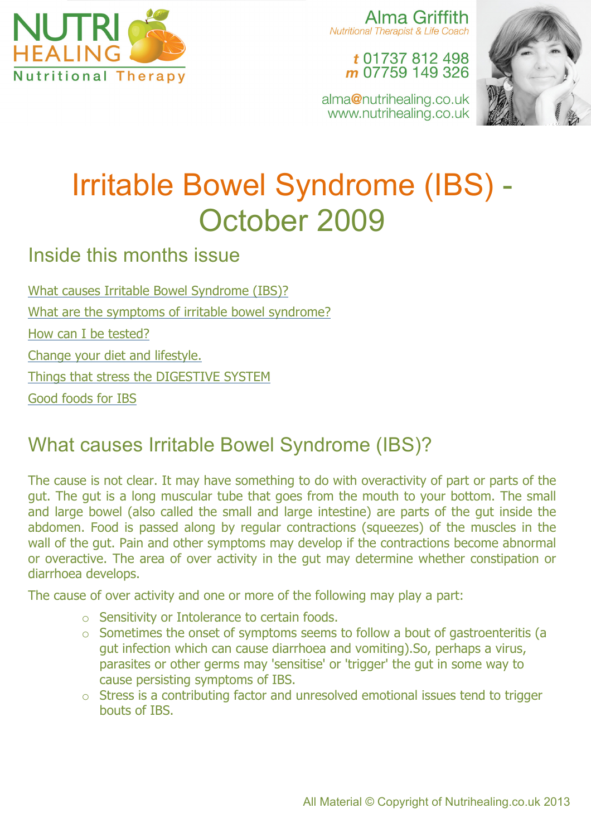

Alma Griffith **Nutritional Therapist & Life Coach** 

t 01737 812 498 m 07759 149 326

alma@nutrihealing.co.uk www.nutrihealing.co.uk



# Irritable Bowel Syndrome (IBS) - October 2009

Inside this months issue

What causes Irritable Bowel Syndrome (IBS)? What are the symptoms of irritable bowel syndrome? How can I be tested? Change your diet and lifestyle. Things that stress the DIGESTIVE SYSTEM Good foods for IBS

## What causes Irritable Bowel Syndrome (IBS)?

The cause is not clear. It may have something to do with overactivity of part or parts of the gut. The gut is a long muscular tube that goes from the mouth to your bottom. The small and large bowel (also called the small and large intestine) are parts of the gut inside the abdomen. Food is passed along by regular contractions (squeezes) of the muscles in the wall of the gut. Pain and other symptoms may develop if the contractions become abnormal or overactive. The area of over activity in the gut may determine whether constipation or diarrhoea develops.

The cause of over activity and one or more of the following may play a part:

- o Sensitivity or Intolerance to certain foods.
- o Sometimes the onset of symptoms seems to follow a bout of gastroenteritis (a gut infection which can cause diarrhoea and vomiting).So, perhaps a virus, parasites or other germs may 'sensitise' or 'trigger' the gut in some way to cause persisting symptoms of IBS.
- o Stress is a contributing factor and unresolved emotional issues tend to trigger bouts of IBS.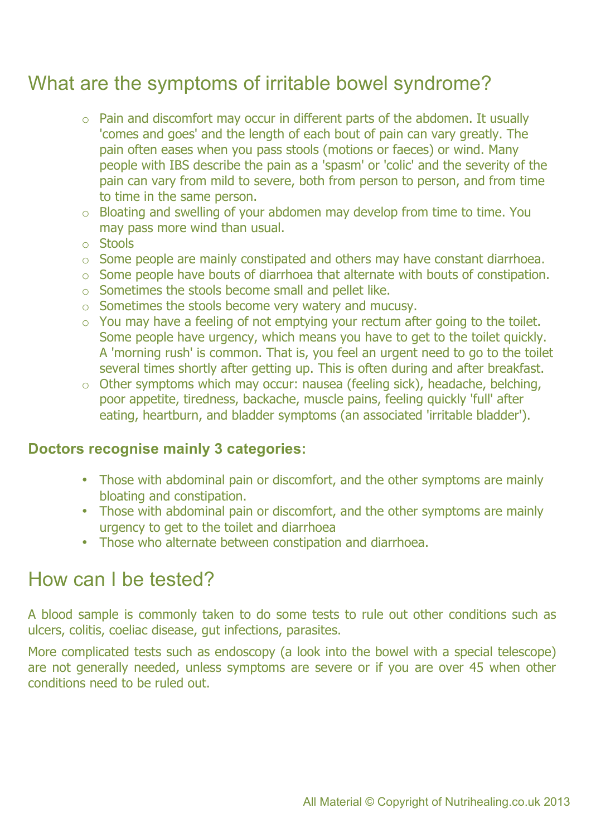### What are the symptoms of irritable bowel syndrome?

- $\circ$  Pain and discomfort may occur in different parts of the abdomen. It usually 'comes and goes' and the length of each bout of pain can vary greatly. The pain often eases when you pass stools (motions or faeces) or wind. Many people with IBS describe the pain as a 'spasm' or 'colic' and the severity of the pain can vary from mild to severe, both from person to person, and from time to time in the same person.
- o Bloating and swelling of your abdomen may develop from time to time. You may pass more wind than usual.
- o Stools
- o Some people are mainly constipated and others may have constant diarrhoea.
- o Some people have bouts of diarrhoea that alternate with bouts of constipation.
- o Sometimes the stools become small and pellet like.
- o Sometimes the stools become very watery and mucusy.
- $\circ$  You may have a feeling of not emptying your rectum after going to the toilet. Some people have urgency, which means you have to get to the toilet quickly. A 'morning rush' is common. That is, you feel an urgent need to go to the toilet several times shortly after getting up. This is often during and after breakfast.
- o Other symptoms which may occur: nausea (feeling sick), headache, belching, poor appetite, tiredness, backache, muscle pains, feeling quickly 'full' after eating, heartburn, and bladder symptoms (an associated 'irritable bladder').

#### **Doctors recognise mainly 3 categories:**

- Those with abdominal pain or discomfort, and the other symptoms are mainly bloating and constipation.
- Those with abdominal pain or discomfort, and the other symptoms are mainly urgency to get to the toilet and diarrhoea
- Those who alternate between constipation and diarrhoea.

#### How can I be tested?

A blood sample is commonly taken to do some tests to rule out other conditions such as ulcers, colitis, coeliac disease, gut infections, parasites.

More complicated tests such as endoscopy (a look into the bowel with a special telescope) are not generally needed, unless symptoms are severe or if you are over 45 when other conditions need to be ruled out.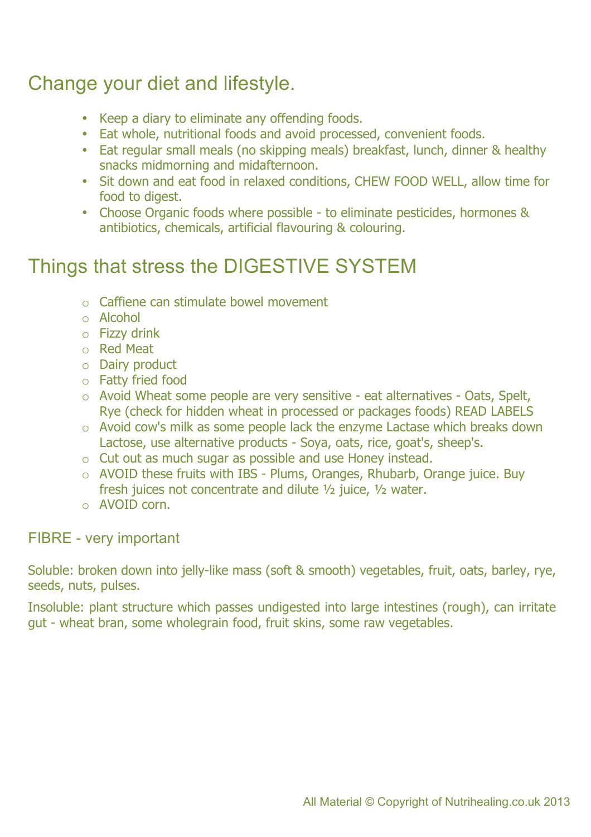### Change your diet and lifestyle.

- Keep a diary to eliminate any offending foods.
- Eat whole, nutritional foods and avoid processed, convenient foods.
- Eat regular small meals (no skipping meals) breakfast, lunch, dinner & healthy snacks midmorning and midafternoon.
- Sit down and eat food in relaxed conditions, CHEW FOOD WELL, allow time for food to digest.
- Choose Organic foods where possible to eliminate pesticides, hormones & antibiotics, chemicals, artificial flavouring & colouring.

### Things that stress the DIGESTIVE SYSTEM

- o Caffiene can stimulate bowel movement
- o Alcohol
- $\circ$  Fizzy drink
- o Red Meat
- o Dairy product
- o Fatty fried food
- o Avoid Wheat some people are very sensitive eat alternatives Oats, Spelt, Rye (check for hidden wheat in processed or packages foods) READ LABELS
- o Avoid cow's milk as some people lack the enzyme Lactase which breaks down Lactose, use alternative products - Soya, oats, rice, goat's, sheep's.
- o Cut out as much sugar as possible and use Honey instead.
- o AVOID these fruits with IBS Plums, Oranges, Rhubarb, Orange juice. Buy fresh juices not concentrate and dilute ½ juice, ½ water.
- o AVOID corn.

#### FIBRE - very important

Soluble: broken down into jelly-like mass (soft & smooth) vegetables, fruit, oats, barley, rye, seeds, nuts, pulses.

Insoluble: plant structure which passes undigested into large intestines (rough), can irritate gut - wheat bran, some wholegrain food, fruit skins, some raw vegetables.